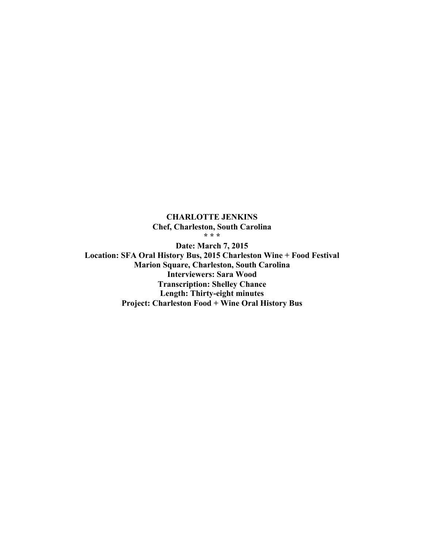**CHARLOTTE JENKINS Chef, Charleston, South Carolina \* \* \* Date: March 7, 2015 Location: SFA Oral History Bus, 2015 Charleston Wine + Food Festival Marion Square, Charleston, South Carolina Interviewers: Sara Wood Transcription: Shelley Chance Length: Thirty-eight minutes Project: Charleston Food + Wine Oral History Bus**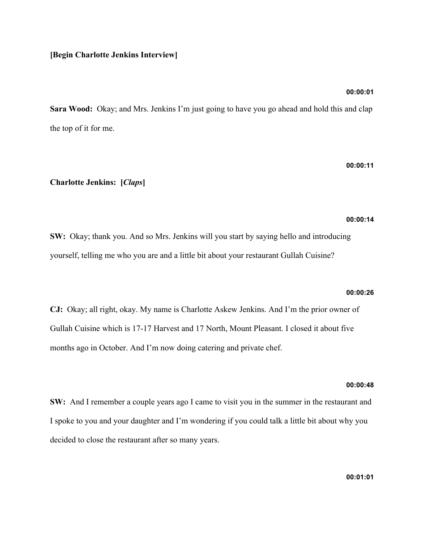## **[Begin Charlotte Jenkins Interview]**

## **00:00:01**

**Sara Wood:** Okay; and Mrs. Jenkins I'm just going to have you go ahead and hold this and clap the top of it for me.

## **00:00:11**

## **Charlotte Jenkins: [***Claps***]**

### **00:00:14**

**SW:** Okay; thank you. And so Mrs. Jenkins will you start by saying hello and introducing yourself, telling me who you are and a little bit about your restaurant Gullah Cuisine?

### **00:00:26**

**CJ:** Okay; all right, okay. My name is Charlotte Askew Jenkins. And I'm the prior owner of Gullah Cuisine which is 17-17 Harvest and 17 North, Mount Pleasant. I closed it about five months ago in October. And I'm now doing catering and private chef.

## **00:00:48**

**SW:** And I remember a couple years ago I came to visit you in the summer in the restaurant and I spoke to you and your daughter and I'm wondering if you could talk a little bit about why you decided to close the restaurant after so many years.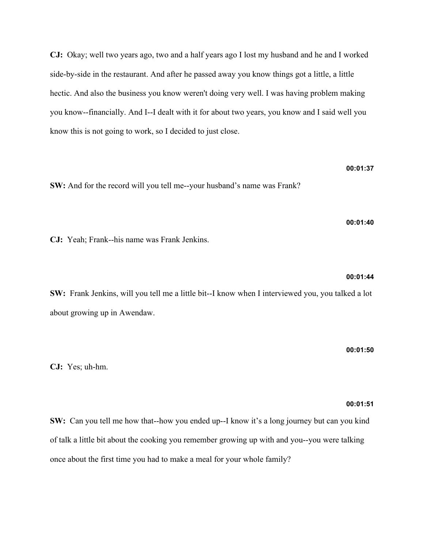**CJ:** Okay; well two years ago, two and a half years ago I lost my husband and he and I worked side-by-side in the restaurant. And after he passed away you know things got a little, a little hectic. And also the business you know weren't doing very well. I was having problem making you know--financially. And I--I dealt with it for about two years, you know and I said well you know this is not going to work, so I decided to just close.

**SW:** And for the record will you tell me--your husband's name was Frank?

**CJ:** Yeah; Frank--his name was Frank Jenkins.

**SW:** Frank Jenkins, will you tell me a little bit--I know when I interviewed you, you talked a lot about growing up in Awendaw.

**CJ:** Yes; uh-hm.

**00:01:51**

**00:01:50**

**00:01:37**

**00:01:40**

**00:01:44**

**SW:** Can you tell me how that--how you ended up--I know it's a long journey but can you kind of talk a little bit about the cooking you remember growing up with and you--you were talking once about the first time you had to make a meal for your whole family?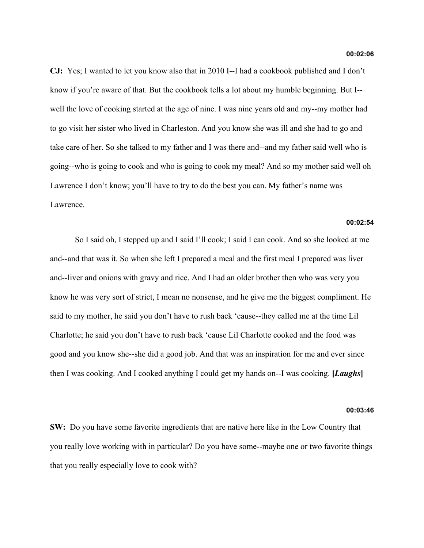**CJ:** Yes; I wanted to let you know also that in 2010 I--I had a cookbook published and I don't know if you're aware of that. But the cookbook tells a lot about my humble beginning. But I- well the love of cooking started at the age of nine. I was nine years old and my--my mother had to go visit her sister who lived in Charleston. And you know she was ill and she had to go and take care of her. So she talked to my father and I was there and--and my father said well who is going--who is going to cook and who is going to cook my meal? And so my mother said well oh Lawrence I don't know; you'll have to try to do the best you can. My father's name was Lawrence.

### **00:02:54**

So I said oh, I stepped up and I said I'll cook; I said I can cook. And so she looked at me and--and that was it. So when she left I prepared a meal and the first meal I prepared was liver and--liver and onions with gravy and rice. And I had an older brother then who was very you know he was very sort of strict, I mean no nonsense, and he give me the biggest compliment. He said to my mother, he said you don't have to rush back 'cause--they called me at the time Lil Charlotte; he said you don't have to rush back 'cause Lil Charlotte cooked and the food was good and you know she--she did a good job. And that was an inspiration for me and ever since then I was cooking. And I cooked anything I could get my hands on--I was cooking. **[***Laughs***]**

### **00:03:46**

**SW:** Do you have some favorite ingredients that are native here like in the Low Country that you really love working with in particular? Do you have some--maybe one or two favorite things that you really especially love to cook with?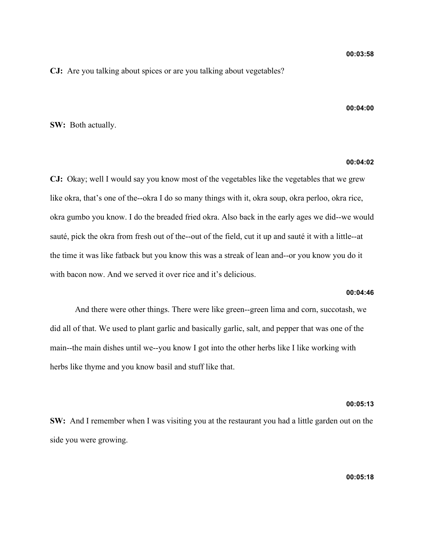**00:04:00**

## **CJ:** Are you talking about spices or are you talking about vegetables?

## **SW:** Both actually.

## **00:04:02**

**CJ:** Okay; well I would say you know most of the vegetables like the vegetables that we grew like okra, that's one of the--okra I do so many things with it, okra soup, okra perloo, okra rice, okra gumbo you know. I do the breaded fried okra. Also back in the early ages we did--we would sauté, pick the okra from fresh out of the--out of the field, cut it up and sauté it with a little--at the time it was like fatback but you know this was a streak of lean and--or you know you do it with bacon now. And we served it over rice and it's delicious.

## **00:04:46**

And there were other things. There were like green--green lima and corn, succotash, we did all of that. We used to plant garlic and basically garlic, salt, and pepper that was one of the main--the main dishes until we--you know I got into the other herbs like I like working with herbs like thyme and you know basil and stuff like that.

## **00:05:13**

**SW:** And I remember when I was visiting you at the restaurant you had a little garden out on the side you were growing.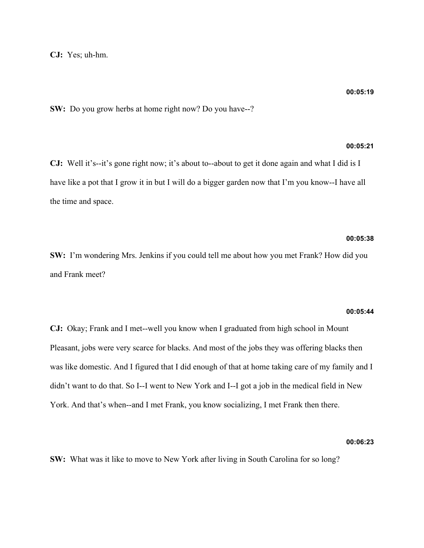**CJ:** Yes; uh-hm.

**SW:** Do you grow herbs at home right now? Do you have--?

## **00:05:21**

**CJ:** Well it's--it's gone right now; it's about to--about to get it done again and what I did is I have like a pot that I grow it in but I will do a bigger garden now that I'm you know--I have all the time and space.

## **00:05:38**

**SW:** I'm wondering Mrs. Jenkins if you could tell me about how you met Frank? How did you and Frank meet?

### **00:05:44**

**CJ:** Okay; Frank and I met--well you know when I graduated from high school in Mount Pleasant, jobs were very scarce for blacks. And most of the jobs they was offering blacks then was like domestic. And I figured that I did enough of that at home taking care of my family and I didn't want to do that. So I--I went to New York and I--I got a job in the medical field in New York. And that's when--and I met Frank, you know socializing, I met Frank then there.

### **00:06:23**

**SW:** What was it like to move to New York after living in South Carolina for so long?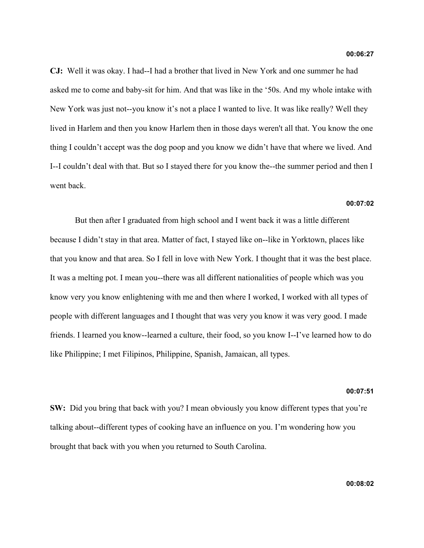**CJ:** Well it was okay. I had--I had a brother that lived in New York and one summer he had asked me to come and baby-sit for him. And that was like in the '50s. And my whole intake with New York was just not--you know it's not a place I wanted to live. It was like really? Well they lived in Harlem and then you know Harlem then in those days weren't all that. You know the one thing I couldn't accept was the dog poop and you know we didn't have that where we lived. And I--I couldn't deal with that. But so I stayed there for you know the--the summer period and then I went back.

## **00:07:02**

But then after I graduated from high school and I went back it was a little different because I didn't stay in that area. Matter of fact, I stayed like on--like in Yorktown, places like that you know and that area. So I fell in love with New York. I thought that it was the best place. It was a melting pot. I mean you--there was all different nationalities of people which was you know very you know enlightening with me and then where I worked, I worked with all types of people with different languages and I thought that was very you know it was very good. I made friends. I learned you know--learned a culture, their food, so you know I--I've learned how to do like Philippine; I met Filipinos, Philippine, Spanish, Jamaican, all types.

### **00:07:51**

**SW:** Did you bring that back with you? I mean obviously you know different types that you're talking about--different types of cooking have an influence on you. I'm wondering how you brought that back with you when you returned to South Carolina.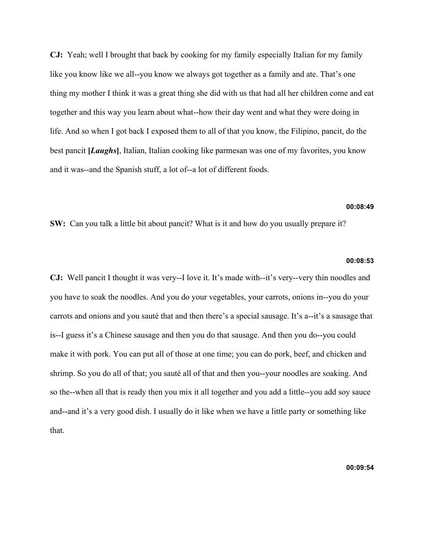**CJ:** Yeah; well I brought that back by cooking for my family especially Italian for my family like you know like we all--you know we always got together as a family and ate. That's one thing my mother I think it was a great thing she did with us that had all her children come and eat together and this way you learn about what--how their day went and what they were doing in life. And so when I got back I exposed them to all of that you know, the Filipino, pancit, do the best pancit **[***Laughs***]**, Italian, Italian cooking like parmesan was one of my favorites, you know and it was--and the Spanish stuff, a lot of--a lot of different foods.

## **00:08:49**

**SW:** Can you talk a little bit about pancit? What is it and how do you usually prepare it?

## **00:08:53**

**CJ:** Well pancit I thought it was very--I love it. It's made with--it's very--very thin noodles and you have to soak the noodles. And you do your vegetables, your carrots, onions in--you do your carrots and onions and you sauté that and then there's a special sausage. It's a--it's a sausage that is--I guess it's a Chinese sausage and then you do that sausage. And then you do--you could make it with pork. You can put all of those at one time; you can do pork, beef, and chicken and shrimp. So you do all of that; you sauté all of that and then you--your noodles are soaking. And so the--when all that is ready then you mix it all together and you add a little--you add soy sauce and--and it's a very good dish. I usually do it like when we have a little party or something like that.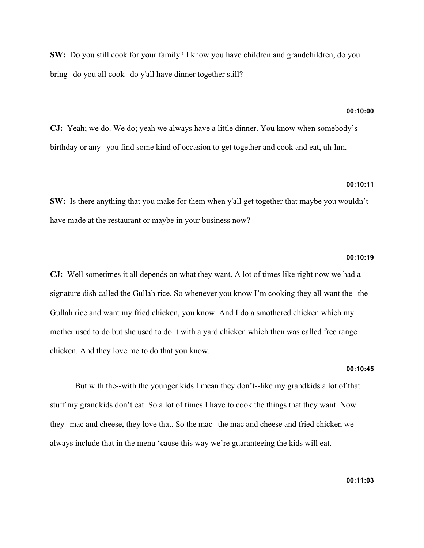**SW:** Do you still cook for your family? I know you have children and grandchildren, do you bring--do you all cook--do y'all have dinner together still?

### **00:10:00**

**CJ:** Yeah; we do. We do; yeah we always have a little dinner. You know when somebody's birthday or any--you find some kind of occasion to get together and cook and eat, uh-hm.

## **00:10:11**

**SW:** Is there anything that you make for them when y'all get together that maybe you wouldn't have made at the restaurant or maybe in your business now?

### **00:10:19**

**CJ:** Well sometimes it all depends on what they want. A lot of times like right now we had a signature dish called the Gullah rice. So whenever you know I'm cooking they all want the--the Gullah rice and want my fried chicken, you know. And I do a smothered chicken which my mother used to do but she used to do it with a yard chicken which then was called free range chicken. And they love me to do that you know.

## **00:10:45**

But with the--with the younger kids I mean they don't--like my grandkids a lot of that stuff my grandkids don't eat. So a lot of times I have to cook the things that they want. Now they--mac and cheese, they love that. So the mac--the mac and cheese and fried chicken we always include that in the menu 'cause this way we're guaranteeing the kids will eat.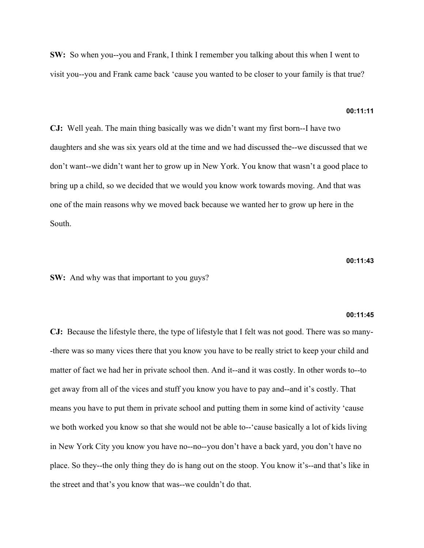**SW:** So when you--you and Frank, I think I remember you talking about this when I went to visit you--you and Frank came back 'cause you wanted to be closer to your family is that true?

## **00:11:11**

**CJ:** Well yeah. The main thing basically was we didn't want my first born--I have two daughters and she was six years old at the time and we had discussed the--we discussed that we don't want--we didn't want her to grow up in New York. You know that wasn't a good place to bring up a child, so we decided that we would you know work towards moving. And that was one of the main reasons why we moved back because we wanted her to grow up here in the South.

**00:11:43**

**SW:** And why was that important to you guys?

#### **00:11:45**

**CJ:** Because the lifestyle there, the type of lifestyle that I felt was not good. There was so many- -there was so many vices there that you know you have to be really strict to keep your child and matter of fact we had her in private school then. And it--and it was costly. In other words to--to get away from all of the vices and stuff you know you have to pay and--and it's costly. That means you have to put them in private school and putting them in some kind of activity 'cause we both worked you know so that she would not be able to--'cause basically a lot of kids living in New York City you know you have no--no--you don't have a back yard, you don't have no place. So they--the only thing they do is hang out on the stoop. You know it's--and that's like in the street and that's you know that was--we couldn't do that.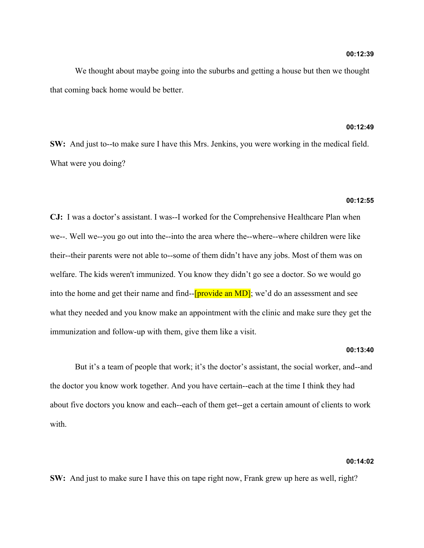We thought about maybe going into the suburbs and getting a house but then we thought that coming back home would be better.

## **00:12:49**

**SW:** And just to--to make sure I have this Mrs. Jenkins, you were working in the medical field. What were you doing?

### **00:12:55**

**CJ:** I was a doctor's assistant. I was--I worked for the Comprehensive Healthcare Plan when we--. Well we--you go out into the--into the area where the--where--where children were like their--their parents were not able to--some of them didn't have any jobs. Most of them was on welfare. The kids weren't immunized. You know they didn't go see a doctor. So we would go into the home and get their name and find--[provide an MD]; we'd do an assessment and see what they needed and you know make an appointment with the clinic and make sure they get the immunization and follow-up with them, give them like a visit.

### **00:13:40**

But it's a team of people that work; it's the doctor's assistant, the social worker, and--and the doctor you know work together. And you have certain--each at the time I think they had about five doctors you know and each--each of them get--get a certain amount of clients to work with

## **00:14:02**

**SW:** And just to make sure I have this on tape right now, Frank grew up here as well, right?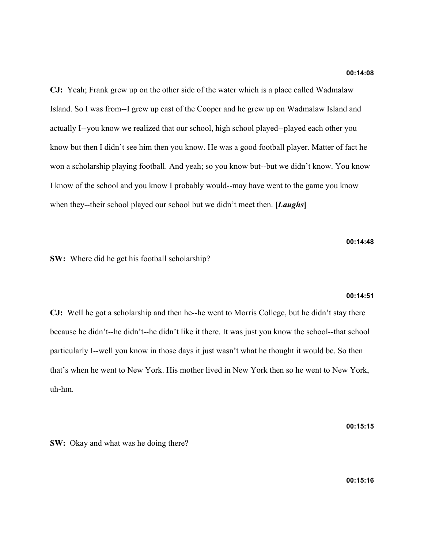**CJ:** Yeah; Frank grew up on the other side of the water which is a place called Wadmalaw Island. So I was from--I grew up east of the Cooper and he grew up on Wadmalaw Island and actually I--you know we realized that our school, high school played--played each other you know but then I didn't see him then you know. He was a good football player. Matter of fact he won a scholarship playing football. And yeah; so you know but--but we didn't know. You know I know of the school and you know I probably would--may have went to the game you know when they--their school played our school but we didn't meet then. **[***Laughs***]**

**00:14:48**

**SW:** Where did he get his football scholarship?

#### **00:14:51**

**CJ:** Well he got a scholarship and then he--he went to Morris College, but he didn't stay there because he didn't--he didn't--he didn't like it there. It was just you know the school--that school particularly I--well you know in those days it just wasn't what he thought it would be. So then that's when he went to New York. His mother lived in New York then so he went to New York, uh-hm.

**00:15:15**

**SW:** Okay and what was he doing there?

**00:15:16**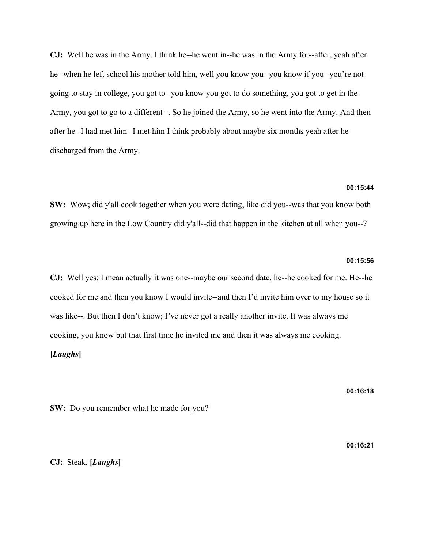**CJ:** Well he was in the Army. I think he--he went in--he was in the Army for--after, yeah after he--when he left school his mother told him, well you know you--you know if you--you're not going to stay in college, you got to--you know you got to do something, you got to get in the Army, you got to go to a different--. So he joined the Army, so he went into the Army. And then after he--I had met him--I met him I think probably about maybe six months yeah after he discharged from the Army.

## **00:15:44**

**SW:** Wow; did y'all cook together when you were dating, like did you--was that you know both growing up here in the Low Country did y'all--did that happen in the kitchen at all when you--?

## **00:15:56**

**CJ:** Well yes; I mean actually it was one--maybe our second date, he--he cooked for me. He--he cooked for me and then you know I would invite--and then I'd invite him over to my house so it was like--. But then I don't know; I've never got a really another invite. It was always me cooking, you know but that first time he invited me and then it was always me cooking. **[***Laughs***]**

**00:16:18**

**SW:** Do you remember what he made for you?

**00:16:21**

## **CJ:** Steak. **[***Laughs***]**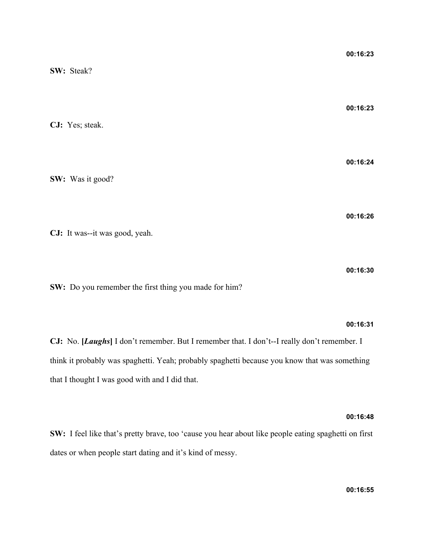| SW: Steak?                     | 00:16:23 |
|--------------------------------|----------|
| CJ: Yes; steak.                | 00:16:23 |
| SW: Was it good?               | 00:16:24 |
| CJ: It was--it was good, yeah. | 00:16:26 |
|                                | 00:16:30 |

**SW:** Do you remember the first thing you made for him?

## **00:16:31**

**CJ:** No. **[***Laughs***]** I don't remember. But I remember that. I don't--I really don't remember. I think it probably was spaghetti. Yeah; probably spaghetti because you know that was something that I thought I was good with and I did that.

## **00:16:48**

**SW:** I feel like that's pretty brave, too 'cause you hear about like people eating spaghetti on first dates or when people start dating and it's kind of messy.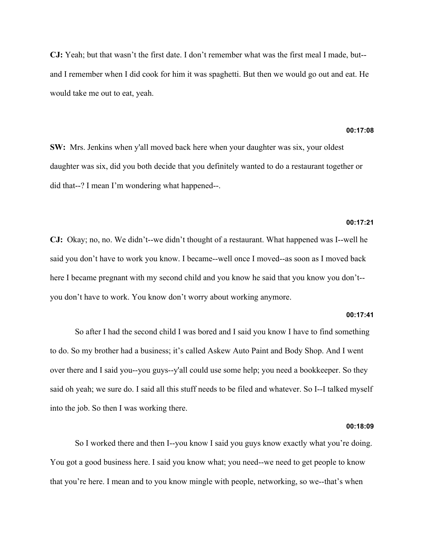**CJ:** Yeah; but that wasn't the first date. I don't remember what was the first meal I made, but- and I remember when I did cook for him it was spaghetti. But then we would go out and eat. He would take me out to eat, yeah.

## **00:17:08**

**SW:** Mrs. Jenkins when y'all moved back here when your daughter was six, your oldest daughter was six, did you both decide that you definitely wanted to do a restaurant together or did that--? I mean I'm wondering what happened--.

## **00:17:21**

**CJ:** Okay; no, no. We didn't--we didn't thought of a restaurant. What happened was I--well he said you don't have to work you know. I became--well once I moved--as soon as I moved back here I became pregnant with my second child and you know he said that you know you don't- you don't have to work. You know don't worry about working anymore.

### **00:17:41**

So after I had the second child I was bored and I said you know I have to find something to do. So my brother had a business; it's called Askew Auto Paint and Body Shop. And I went over there and I said you--you guys--y'all could use some help; you need a bookkeeper. So they said oh yeah; we sure do. I said all this stuff needs to be filed and whatever. So I--I talked myself into the job. So then I was working there.

## **00:18:09**

So I worked there and then I--you know I said you guys know exactly what you're doing. You got a good business here. I said you know what; you need--we need to get people to know that you're here. I mean and to you know mingle with people, networking, so we--that's when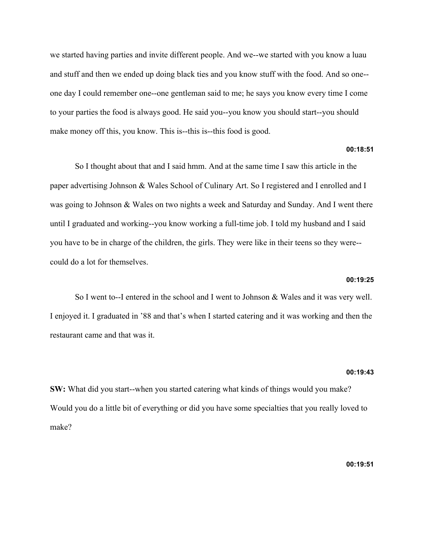we started having parties and invite different people. And we--we started with you know a luau and stuff and then we ended up doing black ties and you know stuff with the food. And so one- one day I could remember one--one gentleman said to me; he says you know every time I come to your parties the food is always good. He said you--you know you should start--you should make money off this, you know. This is--this is--this food is good.

## **00:18:51**

So I thought about that and I said hmm. And at the same time I saw this article in the paper advertising Johnson & Wales School of Culinary Art. So I registered and I enrolled and I was going to Johnson & Wales on two nights a week and Saturday and Sunday. And I went there until I graduated and working--you know working a full-time job. I told my husband and I said you have to be in charge of the children, the girls. They were like in their teens so they were- could do a lot for themselves.

### **00:19:25**

So I went to--I entered in the school and I went to Johnson & Wales and it was very well. I enjoyed it. I graduated in '88 and that's when I started catering and it was working and then the restaurant came and that was it.

### **00:19:43**

**SW:** What did you start--when you started catering what kinds of things would you make? Would you do a little bit of everything or did you have some specialties that you really loved to make?

## **00:19:51**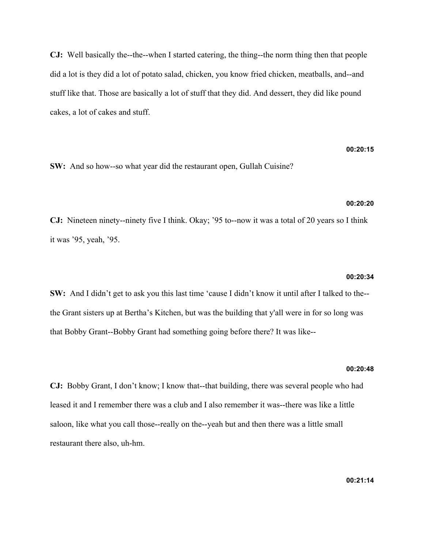**CJ:** Well basically the--the--when I started catering, the thing--the norm thing then that people did a lot is they did a lot of potato salad, chicken, you know fried chicken, meatballs, and--and stuff like that. Those are basically a lot of stuff that they did. And dessert, they did like pound cakes, a lot of cakes and stuff.

# **00:20:15**

**SW:** And so how--so what year did the restaurant open, Gullah Cuisine?

## **00:20:20**

**CJ:** Nineteen ninety--ninety five I think. Okay; '95 to--now it was a total of 20 years so I think it was '95, yeah, '95.

### **00:20:34**

**SW:** And I didn't get to ask you this last time 'cause I didn't know it until after I talked to the- the Grant sisters up at Bertha's Kitchen, but was the building that y'all were in for so long was that Bobby Grant--Bobby Grant had something going before there? It was like--

### **00:20:48**

**CJ:** Bobby Grant, I don't know; I know that--that building, there was several people who had leased it and I remember there was a club and I also remember it was--there was like a little saloon, like what you call those--really on the--yeah but and then there was a little small restaurant there also, uh-hm.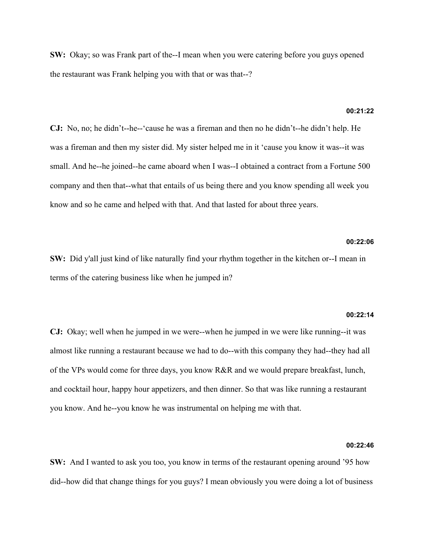**SW:** Okay; so was Frank part of the--I mean when you were catering before you guys opened the restaurant was Frank helping you with that or was that--?

### **00:21:22**

**CJ:** No, no; he didn't--he--'cause he was a fireman and then no he didn't--he didn't help. He was a fireman and then my sister did. My sister helped me in it 'cause you know it was--it was small. And he--he joined--he came aboard when I was--I obtained a contract from a Fortune 500 company and then that--what that entails of us being there and you know spending all week you know and so he came and helped with that. And that lasted for about three years.

## **00:22:06**

**SW:** Did y'all just kind of like naturally find your rhythm together in the kitchen or--I mean in terms of the catering business like when he jumped in?

#### **00:22:14**

**CJ:** Okay; well when he jumped in we were--when he jumped in we were like running--it was almost like running a restaurant because we had to do--with this company they had--they had all of the VPs would come for three days, you know R&R and we would prepare breakfast, lunch, and cocktail hour, happy hour appetizers, and then dinner. So that was like running a restaurant you know. And he--you know he was instrumental on helping me with that.

## **00:22:46**

**SW:** And I wanted to ask you too, you know in terms of the restaurant opening around '95 how did--how did that change things for you guys? I mean obviously you were doing a lot of business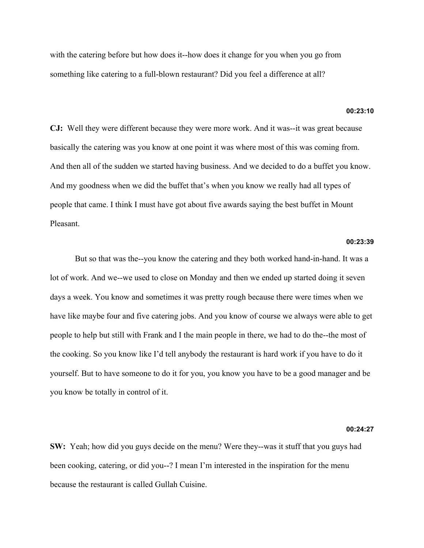with the catering before but how does it--how does it change for you when you go from something like catering to a full-blown restaurant? Did you feel a difference at all?

### **00:23:10**

**CJ:** Well they were different because they were more work. And it was--it was great because basically the catering was you know at one point it was where most of this was coming from. And then all of the sudden we started having business. And we decided to do a buffet you know. And my goodness when we did the buffet that's when you know we really had all types of people that came. I think I must have got about five awards saying the best buffet in Mount Pleasant.

## **00:23:39**

But so that was the--you know the catering and they both worked hand-in-hand. It was a lot of work. And we--we used to close on Monday and then we ended up started doing it seven days a week. You know and sometimes it was pretty rough because there were times when we have like maybe four and five catering jobs. And you know of course we always were able to get people to help but still with Frank and I the main people in there, we had to do the--the most of the cooking. So you know like I'd tell anybody the restaurant is hard work if you have to do it yourself. But to have someone to do it for you, you know you have to be a good manager and be you know be totally in control of it.

### **00:24:27**

**SW:** Yeah; how did you guys decide on the menu? Were they--was it stuff that you guys had been cooking, catering, or did you--? I mean I'm interested in the inspiration for the menu because the restaurant is called Gullah Cuisine.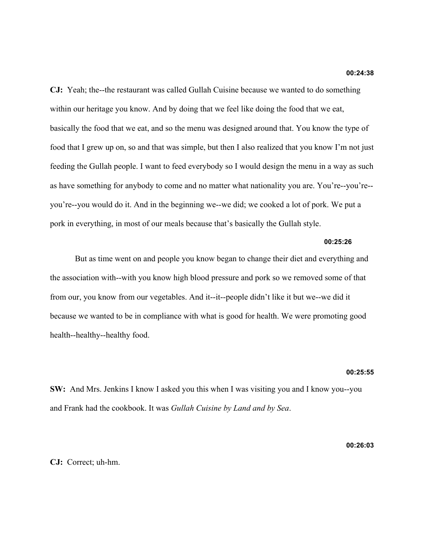**CJ:** Yeah; the--the restaurant was called Gullah Cuisine because we wanted to do something within our heritage you know. And by doing that we feel like doing the food that we eat, basically the food that we eat, and so the menu was designed around that. You know the type of food that I grew up on, so and that was simple, but then I also realized that you know I'm not just feeding the Gullah people. I want to feed everybody so I would design the menu in a way as such as have something for anybody to come and no matter what nationality you are. You're--you're- you're--you would do it. And in the beginning we--we did; we cooked a lot of pork. We put a pork in everything, in most of our meals because that's basically the Gullah style.

## **00:25:26**

But as time went on and people you know began to change their diet and everything and the association with--with you know high blood pressure and pork so we removed some of that from our, you know from our vegetables. And it--it--people didn't like it but we--we did it because we wanted to be in compliance with what is good for health. We were promoting good health--healthy--healthy food.

### **00:25:55**

**SW:** And Mrs. Jenkins I know I asked you this when I was visiting you and I know you--you and Frank had the cookbook. It was *Gullah Cuisine by Land and by Sea*.

**00:26:03**

## **CJ:** Correct; uh-hm.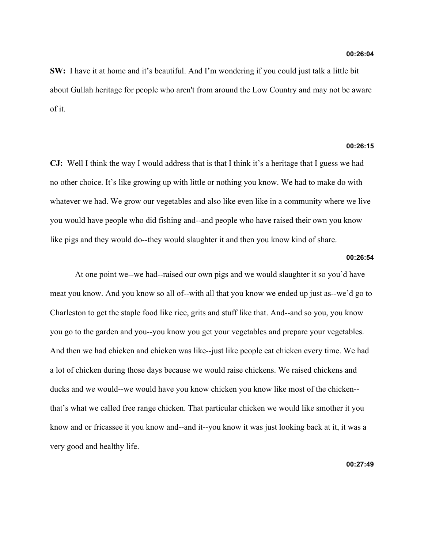**SW:** I have it at home and it's beautiful. And I'm wondering if you could just talk a little bit about Gullah heritage for people who aren't from around the Low Country and may not be aware of it.

## **00:26:15**

**CJ:** Well I think the way I would address that is that I think it's a heritage that I guess we had no other choice. It's like growing up with little or nothing you know. We had to make do with whatever we had. We grow our vegetables and also like even like in a community where we live you would have people who did fishing and--and people who have raised their own you know like pigs and they would do--they would slaughter it and then you know kind of share.

### **00:26:54**

At one point we--we had--raised our own pigs and we would slaughter it so you'd have meat you know. And you know so all of--with all that you know we ended up just as--we'd go to Charleston to get the staple food like rice, grits and stuff like that. And--and so you, you know you go to the garden and you--you know you get your vegetables and prepare your vegetables. And then we had chicken and chicken was like--just like people eat chicken every time. We had a lot of chicken during those days because we would raise chickens. We raised chickens and ducks and we would--we would have you know chicken you know like most of the chicken- that's what we called free range chicken. That particular chicken we would like smother it you know and or fricassee it you know and--and it--you know it was just looking back at it, it was a very good and healthy life.

**00:27:49**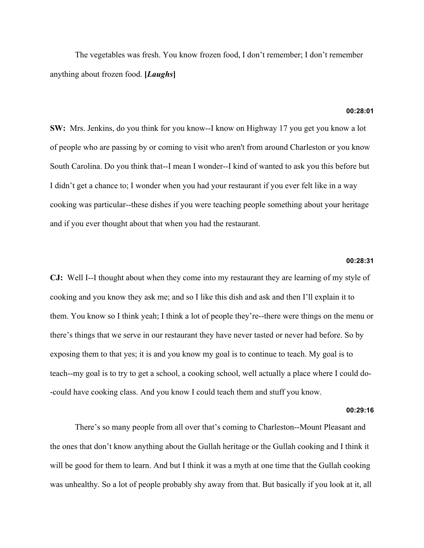The vegetables was fresh. You know frozen food, I don't remember; I don't remember anything about frozen food. **[***Laughs***]**

### **00:28:01**

**SW:** Mrs. Jenkins, do you think for you know--I know on Highway 17 you get you know a lot of people who are passing by or coming to visit who aren't from around Charleston or you know South Carolina. Do you think that--I mean I wonder--I kind of wanted to ask you this before but I didn't get a chance to; I wonder when you had your restaurant if you ever felt like in a way cooking was particular--these dishes if you were teaching people something about your heritage and if you ever thought about that when you had the restaurant.

## **00:28:31**

**CJ:** Well I--I thought about when they come into my restaurant they are learning of my style of cooking and you know they ask me; and so I like this dish and ask and then I'll explain it to them. You know so I think yeah; I think a lot of people they're--there were things on the menu or there's things that we serve in our restaurant they have never tasted or never had before. So by exposing them to that yes; it is and you know my goal is to continue to teach. My goal is to teach--my goal is to try to get a school, a cooking school, well actually a place where I could do- -could have cooking class. And you know I could teach them and stuff you know.

### **00:29:16**

There's so many people from all over that's coming to Charleston--Mount Pleasant and the ones that don't know anything about the Gullah heritage or the Gullah cooking and I think it will be good for them to learn. And but I think it was a myth at one time that the Gullah cooking was unhealthy. So a lot of people probably shy away from that. But basically if you look at it, all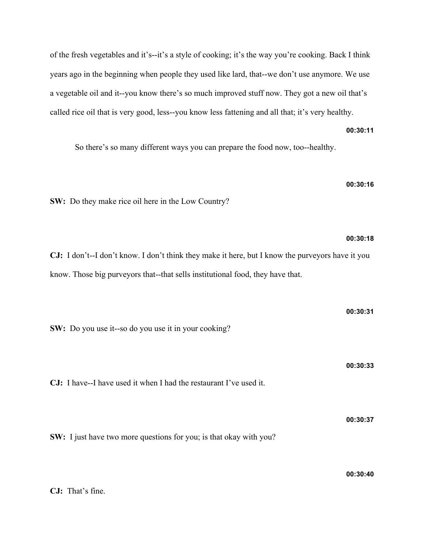of the fresh vegetables and it's--it's a style of cooking; it's the way you're cooking. Back I think years ago in the beginning when people they used like lard, that--we don't use anymore. We use a vegetable oil and it--you know there's so much improved stuff now. They got a new oil that's called rice oil that is very good, less--you know less fattening and all that; it's very healthy.

**00:30:11**

So there's so many different ways you can prepare the food now, too--healthy.

**00:30:16**

**00:30:18**

**SW:** Do they make rice oil here in the Low Country?

**CJ:** I don't--I don't know. I don't think they make it here, but I know the purveyors have it you know. Those big purveyors that--that sells institutional food, they have that.

**00:30:31 SW:** Do you use it--so do you use it in your cooking? **00:30:33 CJ:** I have--I have used it when I had the restaurant I've used it. **00:30:37 SW:** I just have two more questions for you; is that okay with you? **00:30:40**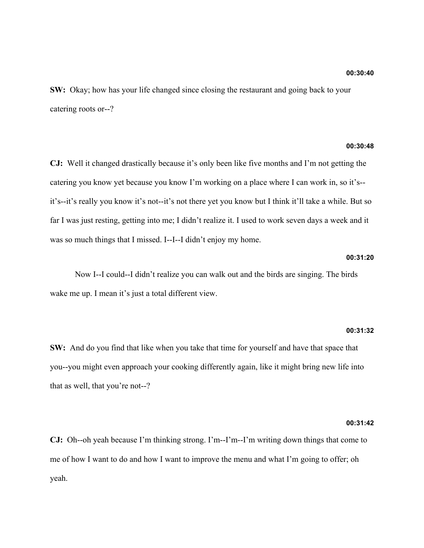**SW:** Okay; how has your life changed since closing the restaurant and going back to your catering roots or--?

## **00:30:48**

**CJ:** Well it changed drastically because it's only been like five months and I'm not getting the catering you know yet because you know I'm working on a place where I can work in, so it's- it's--it's really you know it's not--it's not there yet you know but I think it'll take a while. But so far I was just resting, getting into me; I didn't realize it. I used to work seven days a week and it was so much things that I missed. I--I--I didn't enjoy my home.

### **00:31:20**

Now I--I could--I didn't realize you can walk out and the birds are singing. The birds wake me up. I mean it's just a total different view.

### **00:31:32**

**SW:** And do you find that like when you take that time for yourself and have that space that you--you might even approach your cooking differently again, like it might bring new life into that as well, that you're not--?

### **00:31:42**

**CJ:** Oh--oh yeah because I'm thinking strong. I'm--I'm--I'm writing down things that come to me of how I want to do and how I want to improve the menu and what I'm going to offer; oh yeah.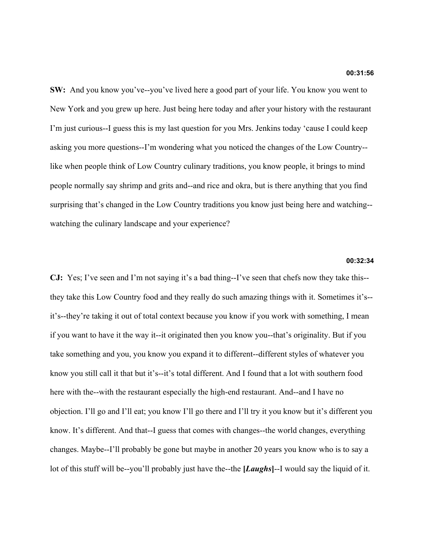**SW:** And you know you've--you've lived here a good part of your life. You know you went to New York and you grew up here. Just being here today and after your history with the restaurant I'm just curious--I guess this is my last question for you Mrs. Jenkins today 'cause I could keep asking you more questions--I'm wondering what you noticed the changes of the Low Country- like when people think of Low Country culinary traditions, you know people, it brings to mind people normally say shrimp and grits and--and rice and okra, but is there anything that you find surprising that's changed in the Low Country traditions you know just being here and watching- watching the culinary landscape and your experience?

## **00:32:34**

**CJ:** Yes; I've seen and I'm not saying it's a bad thing--I've seen that chefs now they take this- they take this Low Country food and they really do such amazing things with it. Sometimes it's- it's--they're taking it out of total context because you know if you work with something, I mean if you want to have it the way it--it originated then you know you--that's originality. But if you take something and you, you know you expand it to different--different styles of whatever you know you still call it that but it's--it's total different. And I found that a lot with southern food here with the--with the restaurant especially the high-end restaurant. And--and I have no objection. I'll go and I'll eat; you know I'll go there and I'll try it you know but it's different you know. It's different. And that--I guess that comes with changes--the world changes, everything changes. Maybe--I'll probably be gone but maybe in another 20 years you know who is to say a lot of this stuff will be--you'll probably just have the--the **[***Laughs***]**--I would say the liquid of it.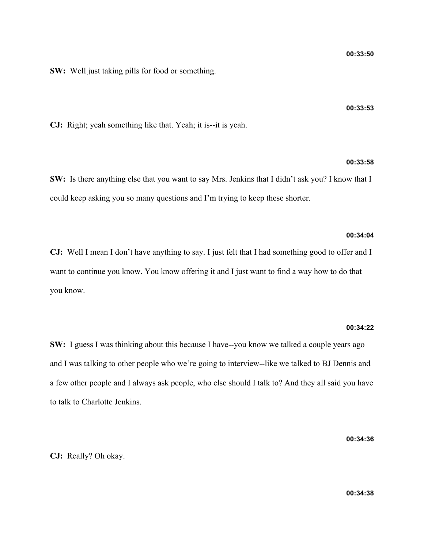**SW:** Well just taking pills for food or something.

**CJ:** Right; yeah something like that. Yeah; it is--it is yeah.

### **00:33:58**

**SW:** Is there anything else that you want to say Mrs. Jenkins that I didn't ask you? I know that I could keep asking you so many questions and I'm trying to keep these shorter.

## **00:34:04**

**CJ:** Well I mean I don't have anything to say. I just felt that I had something good to offer and I want to continue you know. You know offering it and I just want to find a way how to do that you know.

### **00:34:22**

**SW:** I guess I was thinking about this because I have--you know we talked a couple years ago and I was talking to other people who we're going to interview--like we talked to BJ Dennis and a few other people and I always ask people, who else should I talk to? And they all said you have to talk to Charlotte Jenkins.

**00:34:36**

**CJ:** Really? Oh okay.

**00:33:53**

**00:34:38**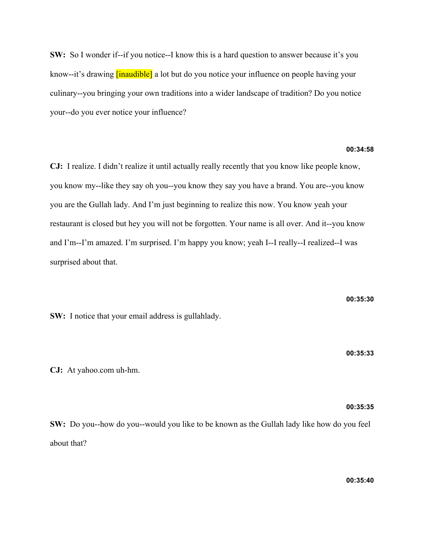**SW:** So I wonder if--if you notice--I know this is a hard question to answer because it's you know--it's drawing **[inaudible]** a lot but do you notice your influence on people having your culinary--you bringing your own traditions into a wider landscape of tradition? Do you notice your--do you ever notice your influence?

## **00:34:58**

**CJ:** I realize. I didn't realize it until actually really recently that you know like people know, you know my--like they say oh you--you know they say you have a brand. You are--you know you are the Gullah lady. And I'm just beginning to realize this now. You know yeah your restaurant is closed but hey you will not be forgotten. Your name is all over. And it--you know and I'm--I'm amazed. I'm surprised. I'm happy you know; yeah I--I really--I realized--I was surprised about that.

**SW:** I notice that your email address is gullahlady.

**CJ:** At yahoo.com uh-hm.

**SW:** Do you--how do you--would you like to be known as the Gullah lady like how do you feel about that?

**00:35:30**

**00:35:33**

**00:35:35**

**00:35:40**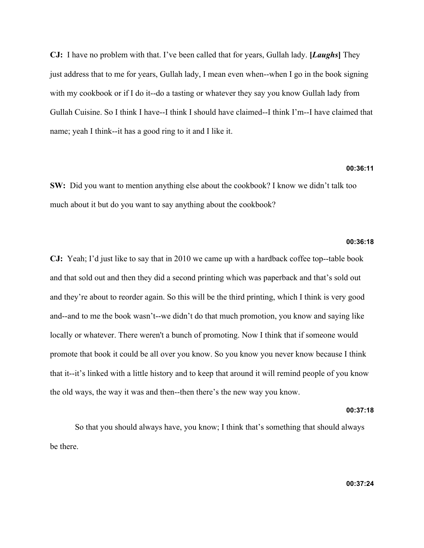**CJ:** I have no problem with that. I've been called that for years, Gullah lady. **[***Laughs***]** They just address that to me for years, Gullah lady, I mean even when--when I go in the book signing with my cookbook or if I do it--do a tasting or whatever they say you know Gullah lady from Gullah Cuisine. So I think I have--I think I should have claimed--I think I'm--I have claimed that name; yeah I think--it has a good ring to it and I like it.

### **00:36:11**

**SW:** Did you want to mention anything else about the cookbook? I know we didn't talk too much about it but do you want to say anything about the cookbook?

## **00:36:18**

**CJ:** Yeah; I'd just like to say that in 2010 we came up with a hardback coffee top--table book and that sold out and then they did a second printing which was paperback and that's sold out and they're about to reorder again. So this will be the third printing, which I think is very good and--and to me the book wasn't--we didn't do that much promotion, you know and saying like locally or whatever. There weren't a bunch of promoting. Now I think that if someone would promote that book it could be all over you know. So you know you never know because I think that it--it's linked with a little history and to keep that around it will remind people of you know the old ways, the way it was and then--then there's the new way you know.

### **00:37:18**

So that you should always have, you know; I think that's something that should always be there.